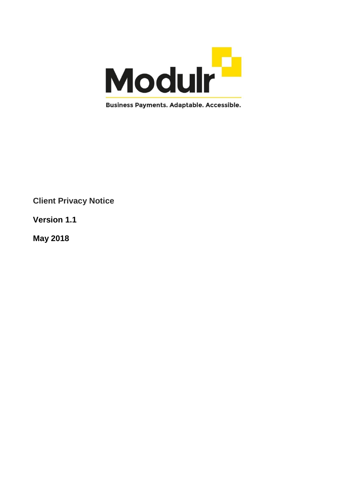

**Client Privacy Notice**

**Version 1.1**

**May 2018**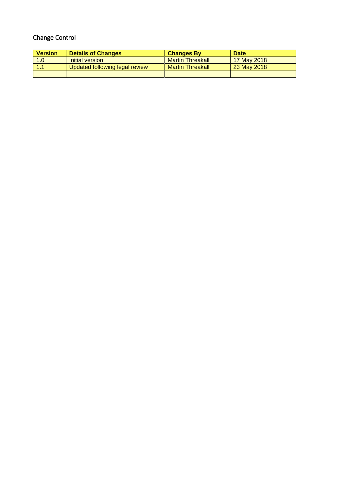# Change Control

| <b>Version</b> | <b>Details of Changes</b>      | <b>Changes By</b>       | <b>Date</b> |
|----------------|--------------------------------|-------------------------|-------------|
| 1.0            | Initial version                | <b>Martin Threakall</b> | 17 May 2018 |
|                | Updated following legal review | <b>Martin Threakall</b> | 23 May 2018 |
|                |                                |                         |             |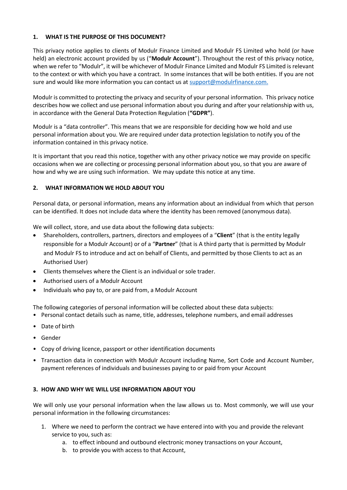#### **1. WHAT IS THE PURPOSE OF THIS DOCUMENT?**

This privacy notice applies to clients of Modulr Finance Limited and Modulr FS Limited who hold (or have held) an electronic account provided by us ("**Modulr Account**"). Throughout the rest of this privacy notice, when we refer to "Modulr", it will be whichever of Modulr Finance Limited and Modulr FS Limited is relevant to the context or with which you have a contract. In some instances that will be both entities. If you are not sure and would like more information you can contact us at [support@modulrfinance.com.](mailto:support@modulrfinance.com)

Modulr is committed to protecting the privacy and security of your personal information. This privacy notice describes how we collect and use personal information about you during and after your relationship with us, in accordance with the General Data Protection Regulation (**"GDPR"**).

Modulr is a "data controller". This means that we are responsible for deciding how we hold and use personal information about you. We are required under data protection legislation to notify you of the information contained in this privacy notice.

It is important that you read this notice, together with any other privacy notice we may provide on specific occasions when we are collecting or processing personal information about you, so that you are aware of how and why we are using such information. We may update this notice at any time.

#### **2. WHAT INFORMATION WE HOLD ABOUT YOU**

Personal data, or personal information, means any information about an individual from which that person can be identified. It does not include data where the identity has been removed (anonymous data).

We will collect, store, and use data about the following data subjects:

- Shareholders, controllers, partners, directors and employees of a "**Client**" (that is the entity legally responsible for a Modulr Account) or of a "**Partner**" (that is A third party that is permitted by Modulr and Modulr FS to introduce and act on behalf of Clients, and permitted by those Clients to act as an Authorised User)
- Clients themselves where the Client is an individual or sole trader.
- Authorised users of a Modulr Account
- Individuals who pay to, or are paid from, a Modulr Account

The following categories of personal information will be collected about these data subjects:

- Personal contact details such as name, title, addresses, telephone numbers, and email addresses
- Date of birth
- Gender
- Copy of driving licence, passport or other identification documents
- Transaction data in connection with Modulr Account including Name, Sort Code and Account Number, payment references of individuals and businesses paying to or paid from your Account

#### **3. HOW AND WHY WE WILL USE INFORMATION ABOUT YOU**

We will only use your personal information when the law allows us to. Most commonly, we will use your personal information in the following circumstances:

- 1. Where we need to perform the contract we have entered into with you and provide the relevant service to you, such as:
	- a. to effect inbound and outbound electronic money transactions on your Account,
	- b. to provide you with access to that Account,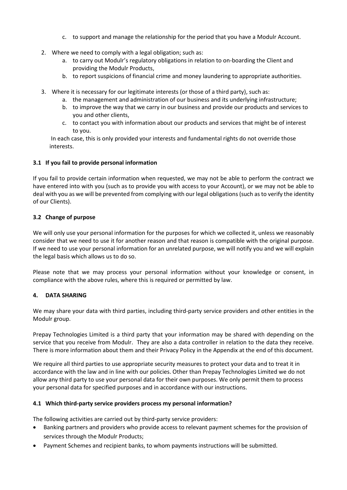- c. to support and manage the relationship for the period that you have a Modulr Account.
- 2. Where we need to comply with a legal obligation; such as:
	- a. to carry out Modulr's regulatory obligations in relation to on-boarding the Client and providing the Modulr Products,
	- b. to report suspicions of financial crime and money laundering to appropriate authorities.
- 3. Where it is necessary for our legitimate interests (or those of a third party), such as:
	- a. the management and administration of our business and its underlying infrastructure;
	- b. to improve the way that we carry in our business and provide our products and services to you and other clients,
	- c. to contact you with information about our products and services that might be of interest to you.

In each case, this is only provided your interests and fundamental rights do not override those interests.

# **3.1 If you fail to provide personal information**

If you fail to provide certain information when requested, we may not be able to perform the contract we have entered into with you (such as to provide you with access to your Account), or we may not be able to deal with you as we will be prevented from complying with our legal obligations (such as to verify the identity of our Clients).

## **3.2 Change of purpose**

We will only use your personal information for the purposes for which we collected it, unless we reasonably consider that we need to use it for another reason and that reason is compatible with the original purpose. If we need to use your personal information for an unrelated purpose, we will notify you and we will explain the legal basis which allows us to do so.

Please note that we may process your personal information without your knowledge or consent, in compliance with the above rules, where this is required or permitted by law.

## **4. DATA SHARING**

We may share your data with third parties, including third-party service providers and other entities in the Modulr group.

Prepay Technologies Limited is a third party that your information may be shared with depending on the service that you receive from Modulr. They are also a data controller in relation to the data they receive. There is more information about them and their Privacy Policy in the Appendix at the end of this document.

We require all third parties to use appropriate security measures to protect your data and to treat it in accordance with the law and in line with our policies. Other than Prepay Technologies Limited we do not allow any third party to use your personal data for their own purposes. We only permit them to process your personal data for specified purposes and in accordance with our instructions.

## **4.1 Which third-party service providers process my personal information?**

The following activities are carried out by third-party service providers:

- Banking partners and providers who provide access to relevant payment schemes for the provision of services through the Modulr Products;
- Payment Schemes and recipient banks, to whom payments instructions will be submitted.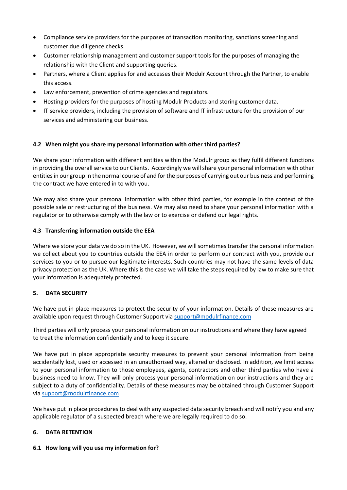- Compliance service providers for the purposes of transaction monitoring, sanctions screening and customer due diligence checks.
- Customer relationship management and customer support tools for the purposes of managing the relationship with the Client and supporting queries.
- Partners, where a Client applies for and accesses their Modulr Account through the Partner, to enable this access.
- Law enforcement, prevention of crime agencies and regulators.
- Hosting providers for the purposes of hosting Modulr Products and storing customer data.
- IT service providers, including the provision of software and IT infrastructure for the provision of our services and administering our business.

## **4.2 When might you share my personal information with other third parties?**

We share your information with different entities within the Modulr group as they fulfil different functions in providing the overall service to our Clients. Accordingly we will share your personal information with other entities in our group in the normal course of and for the purposes of carrying out our business and performing the contract we have entered in to with you.

We may also share your personal information with other third parties, for example in the context of the possible sale or restructuring of the business. We may also need to share your personal information with a regulator or to otherwise comply with the law or to exercise or defend our legal rights.

#### **4.3 Transferring information outside the EEA**

Where we store your data we do so in the UK. However, we will sometimes transfer the personal information we collect about you to countries outside the EEA in order to perform our contract with you, provide our services to you or to pursue our legitimate interests. Such countries may not have the same levels of data privacy protection as the UK. Where this is the case we will take the steps required by law to make sure that your information is adequately protected.

## **5. DATA SECURITY**

We have put in place measures to protect the security of your information. Details of these measures are available upon request through Customer Support via [support@modulrfinance.com](mailto:support@modulrfinance.com)

Third parties will only process your personal information on our instructions and where they have agreed to treat the information confidentially and to keep it secure.

We have put in place appropriate security measures to prevent your personal information from being accidentally lost, used or accessed in an unauthorised way, altered or disclosed. In addition, we limit access to your personal information to those employees, agents, contractors and other third parties who have a business need to know. They will only process your personal information on our instructions and they are subject to a duty of confidentiality. Details of these measures may be obtained through Customer Support via [support@modulrfinance.com](mailto:support@modulrfinance.com)

We have put in place procedures to deal with any suspected data security breach and will notify you and any applicable regulator of a suspected breach where we are legally required to do so.

#### **6. DATA RETENTION**

#### **6.1 How long will you use my information for?**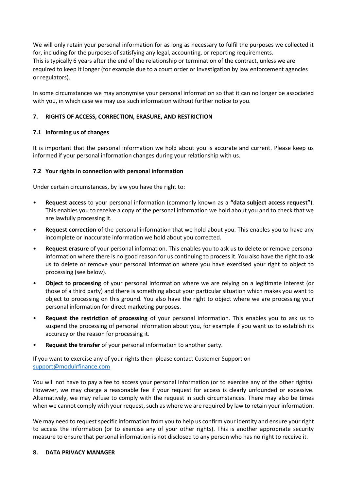We will only retain your personal information for as long as necessary to fulfil the purposes we collected it for, including for the purposes of satisfying any legal, accounting, or reporting requirements. This is typically 6 years after the end of the relationship or termination of the contract, unless we are required to keep it longer (for example due to a court order or investigation by law enforcement agencies or regulators).

In some circumstances we may anonymise your personal information so that it can no longer be associated with you, in which case we may use such information without further notice to you.

## **7. RIGHTS OF ACCESS, CORRECTION, ERASURE, AND RESTRICTION**

#### **7.1 Informing us of changes**

It is important that the personal information we hold about you is accurate and current. Please keep us informed if your personal information changes during your relationship with us.

## **7.2 Your rights in connection with personal information**

Under certain circumstances, by law you have the right to:

- **Request access** to your personal information (commonly known as a **"data subject access request"**). This enables you to receive a copy of the personal information we hold about you and to check that we are lawfully processing it.
- **Request correction** of the personal information that we hold about you. This enables you to have any incomplete or inaccurate information we hold about you corrected.
- **Request erasure** of your personal information. This enables you to ask us to delete or remove personal information where there is no good reason for us continuing to process it. You also have the right to ask us to delete or remove your personal information where you have exercised your right to object to processing (see below).
- **Object to processing** of your personal information where we are relying on a legitimate interest (or those of a third party) and there is something about your particular situation which makes you want to object to processing on this ground. You also have the right to object where we are processing your personal information for direct marketing purposes.
- **Request the restriction of processing** of your personal information. This enables you to ask us to suspend the processing of personal information about you, for example if you want us to establish its accuracy or the reason for processing it.
- **Request the transfer** of your personal information to another party.

If you want to exercise any of your rights then please contact Customer Support on [support@modulrfinance.com](mailto:support@modulrfinance.com)

You will not have to pay a fee to access your personal information (or to exercise any of the other rights). However, we may charge a reasonable fee if your request for access is clearly unfounded or excessive. Alternatively, we may refuse to comply with the request in such circumstances. There may also be times when we cannot comply with your request, such as where we are required by law to retain your information.

We may need to request specific information from you to help us confirm your identity and ensure your right to access the information (or to exercise any of your other rights). This is another appropriate security measure to ensure that personal information is not disclosed to any person who has no right to receive it.

#### **8. DATA PRIVACY MANAGER**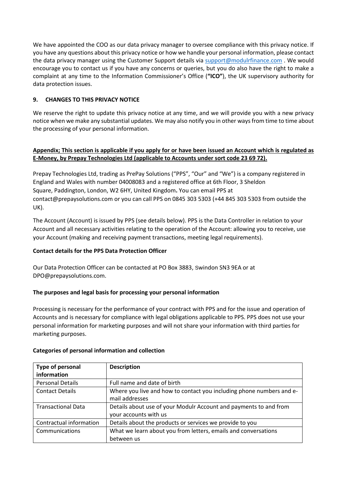We have appointed the COO as our data privacy manager to oversee compliance with this privacy notice. If you have any questions about this privacy notice or how we handle your personal information, please contact the data privacy manager using the Customer Support details via [support@modulrfinance.com](mailto:support@modulrfinance.com) . We would encourage you to contact us if you have any concerns or queries, but you do also have the right to make a complaint at any time to the Information Commissioner's Office (**"ICO"**), the UK supervisory authority for data protection issues.

# **9. CHANGES TO THIS PRIVACY NOTICE**

We reserve the right to update this privacy notice at any time, and we will provide you with a new privacy notice when we make any substantial updates. We may also notify you in other ways from time to time about the processing of your personal information.

# **Appendix; This section is applicable if you apply for or have been issued an Account which is regulated as E-Money, by Prepay Technologies Ltd (applicable to Accounts under sort code 23 69 72).**

Prepay Technologies Ltd, trading as PrePay Solutions ("PPS", "Our" and "We") is a company registered in England and Wales with number 04008083 and a registered office at 6th Floor, 3 Sheldon Square, Paddington, London, W2 6HY, United Kingdom**.** You can email PPS at [contact@prepaysolutions.com](mailto:contact@prepaysolutions.com) or you can call PPS on 0845 303 5303 (+44 845 303 5303 from outside the UK).

The Account (Account) is issued by PPS (see details below). PPS is the Data Controller in relation to your Account and all necessary activities relating to the operation of the Account: allowing you to receive, use your Account (making and receiving payment transactions, meeting legal requirements).

## **Contact details for the PPS Data Protection Officer**

Our Data Protection Officer can be contacted at PO Box 3883, Swindon SN3 9EA or at DPO@prepaysolutions.com.

## **The purposes and legal basis for processing your personal information**

Processing is necessary for the performance of your contract with PPS and for the issue and operation of Accounts and is necessary for compliance with legal obligations applicable to PPS. PPS does not use your personal information for marketing purposes and will not share your information with third parties for marketing purposes.

| Type of personal<br>information | <b>Description</b>                                                   |
|---------------------------------|----------------------------------------------------------------------|
|                                 |                                                                      |
| <b>Personal Details</b>         | Full name and date of birth                                          |
| <b>Contact Details</b>          | Where you live and how to contact you including phone numbers and e- |
|                                 | mail addresses                                                       |
| <b>Transactional Data</b>       | Details about use of your Modulr Account and payments to and from    |
|                                 | your accounts with us                                                |
| Contractual information         | Details about the products or services we provide to you             |
| Communications                  | What we learn about you from letters, emails and conversations       |
|                                 | between us                                                           |

## **Categories of personal information and collection**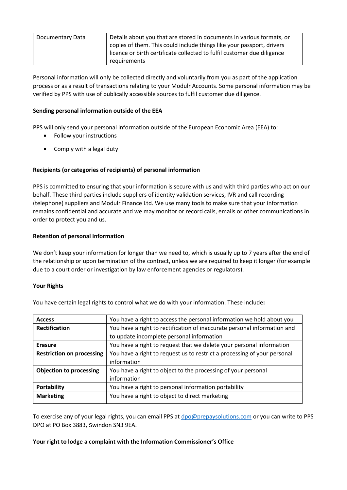| Documentary Data | Details about you that are stored in documents in various formats, or<br>copies of them. This could include things like your passport, drivers |
|------------------|------------------------------------------------------------------------------------------------------------------------------------------------|
|                  | licence or birth certificate collected to fulfil customer due diligence                                                                        |
|                  | requirements                                                                                                                                   |

Personal information will only be collected directly and voluntarily from you as part of the application process or as a result of transactions relating to your Modulr Accounts. Some personal information may be verified by PPS with use of publically accessible sources to fulfil customer due diligence.

#### **Sending personal information outside of the EEA**

PPS will only send your personal information outside of the European Economic Area (EEA) to:

- Follow your instructions
- Comply with a legal duty

## **Recipients (or categories of recipients) of personal information**

PPS is committed to ensuring that your information is secure with us and with third parties who act on our behalf. These third parties include suppliers of identity validation services, IVR and call recording (telephone) suppliers and Modulr Finance Ltd. We use many tools to make sure that your information remains confidential and accurate and we may monitor or record calls, emails or other communications in order to protect you and us.

## **Retention of personal information**

We don't keep your information for longer than we need to, which is usually up to 7 years after the end of the relationship or upon termination of the contract, unless we are required to keep it longer (for example due to a court order or investigation by law enforcement agencies or regulators).

## **Your Rights**

| You have certain legal rights to control what we do with your information. These include: |  |
|-------------------------------------------------------------------------------------------|--|
|                                                                                           |  |

| <b>Access</b>                    | You have a right to access the personal information we hold about you    |
|----------------------------------|--------------------------------------------------------------------------|
| <b>Rectification</b>             | You have a right to rectification of inaccurate personal information and |
|                                  | to update incomplete personal information                                |
| <b>Erasure</b>                   | You have a right to request that we delete your personal information     |
| <b>Restriction on processing</b> | You have a right to request us to restrict a processing of your personal |
|                                  | information                                                              |
| <b>Objection to processing</b>   | You have a right to object to the processing of your personal            |
|                                  | information                                                              |
| <b>Portability</b>               | You have a right to personal information portability                     |
| <b>Marketing</b>                 | You have a right to object to direct marketing                           |
|                                  |                                                                          |

To exercise any of your legal rights, you can email PPS at [dpo@prepaysolutions.com](mailto:dpo@prepaysolutions.com) or you can write to PPS DPO at PO Box 3883, Swindon SN3 9EA.

#### **Your right to lodge a complaint with the Information Commissioner's Office**